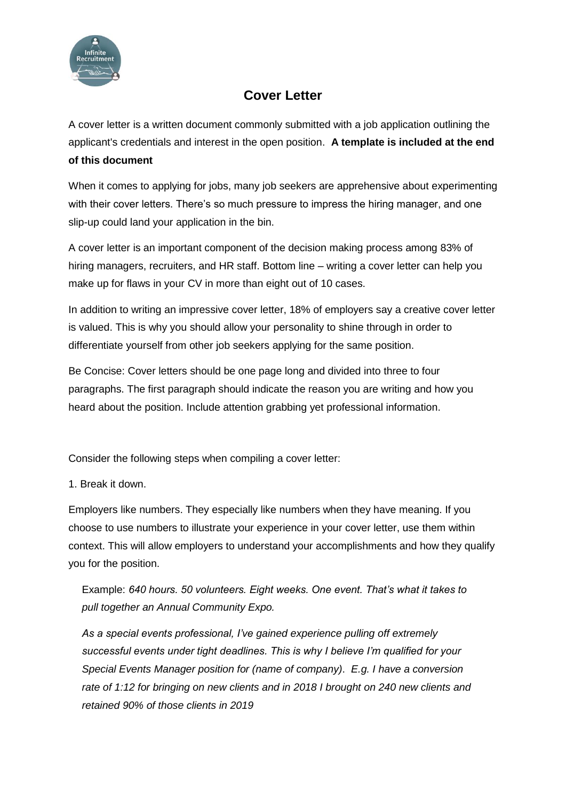

# **Cover Letter**

A cover letter is a written document commonly submitted with a job application outlining the applicant's credentials and interest in the open position. **A template is included at the end of this document**

When it comes to applying for jobs, many job seekers are apprehensive about experimenting with their cover letters. There's so much pressure to impress the hiring manager, and one slip-up could land your application in the bin.

A cover letter is an important component of the decision making process among 83% of hiring managers, recruiters, and HR staff. Bottom line – writing a cover letter can help you make up for flaws in your CV in more than eight out of 10 cases.

In addition to writing an impressive cover letter, 18% of employers say a creative cover letter is valued. This is why you should allow your personality to shine through in order to differentiate yourself from other job seekers applying for the same position.

Be Concise: Cover letters should be one page long and divided into three to four paragraphs. The first paragraph should indicate the reason you are writing and how you heard about the position. Include attention grabbing yet professional information.

Consider the following steps when compiling a cover letter:

1. Break it down.

Employers like numbers. They especially like numbers when they have meaning. If you choose to use numbers to illustrate your experience in your cover letter, use them within context. This will allow employers to understand your accomplishments and how they qualify you for the position.

Example: *640 hours. 50 volunteers. Eight weeks. One event. That's what it takes to pull together an Annual Community Expo.*

*As a special events professional, I've gained experience pulling off extremely successful events under tight deadlines. This is why I believe I'm qualified for your Special Events Manager position for (name of company)*. *E.g. I have a conversion rate of 1:12 for bringing on new clients and in 2018 I brought on 240 new clients and retained 90% of those clients in 2019*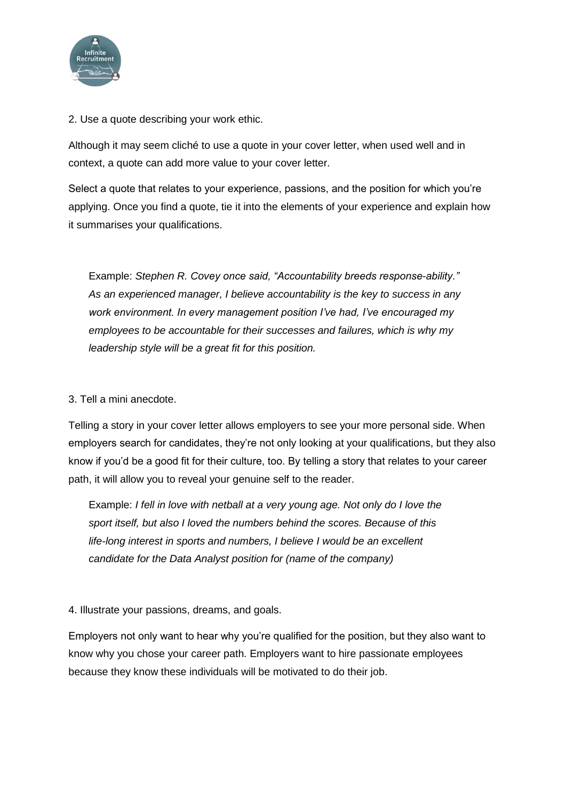

2. Use a quote describing your work ethic.

Although it may seem cliché to use a quote in your cover letter, when used well and in context, a quote can add more value to your cover letter.

Select a quote that relates to your experience, passions, and the position for which you're applying. Once you find a quote, tie it into the elements of your experience and explain how it summarises your qualifications.

Example: *Stephen R. Covey once said, "Accountability breeds response-ability." As an experienced manager, I believe accountability is the key to success in any work environment. In every management position I've had, I've encouraged my employees to be accountable for their successes and failures, which is why my leadership style will be a great fit for this position.* 

#### 3. Tell a mini anecdote.

Telling a story in your cover letter allows employers to see your more personal side. When employers search for candidates, they're not only looking at your qualifications, but they also know if you'd be a good fit for their culture, too. By telling a story that relates to your career path, it will allow you to reveal your genuine self to the reader.

Example: *I fell in love with netball at a very young age. Not only do I love the sport itself, but also I loved the numbers behind the scores. Because of this life-long interest in sports and numbers, I believe I would be an excellent candidate for the Data Analyst position for (name of the company)*

#### 4. Illustrate your passions, dreams, and goals.

Employers not only want to hear why you're qualified for the position, but they also want to know why you chose your career path. Employers want to hire passionate employees because they know these individuals will be motivated to do their job.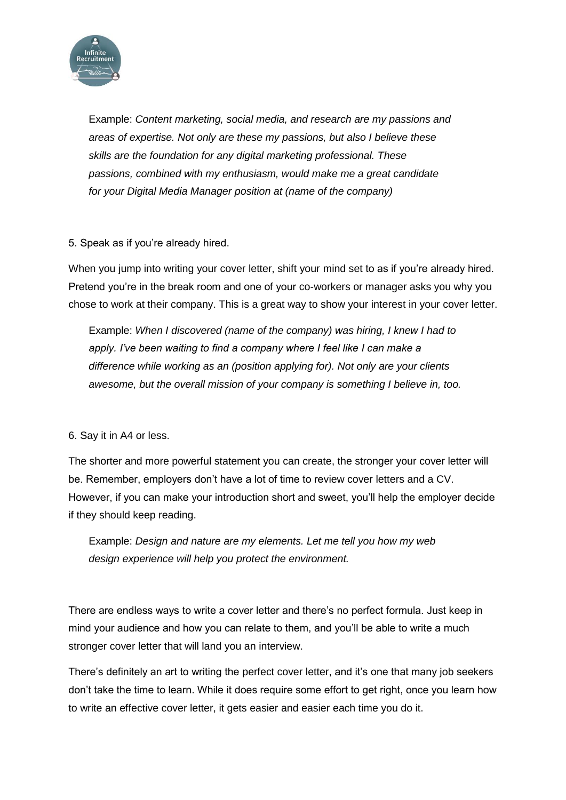

Example: *Content marketing, social media, and research are my passions and areas of expertise. Not only are these my passions, but also I believe these skills are the foundation for any digital marketing professional. These passions, combined with my enthusiasm, would make me a great candidate for your Digital Media Manager position at (name of the company)*

#### 5. Speak as if you're already hired.

When you jump into writing your cover letter, shift your mind set to as if you're already hired. Pretend you're in the break room and one of your co-workers or manager asks you why you chose to work at their company. This is a great way to show your interest in your cover letter.

Example: *When I discovered (name of the company) was hiring, I knew I had to*  apply. I've been waiting to find a company where I feel like I can make a *difference while working as an (position applying for). Not only are your clients awesome, but the overall mission of your company is something I believe in, too.*

6. Say it in A4 or less.

The shorter and more powerful statement you can create, the stronger your cover letter will be. Remember, employers don't have a lot of time to review cover letters and a CV. However, if you can make your introduction short and sweet, you'll help the employer decide if they should keep reading.

Example: *Design and nature are my elements. Let me tell you how my web design experience will help you protect the environment.*

There are endless ways to write a cover letter and there's no perfect formula. Just keep in mind your audience and how you can relate to them, and you'll be able to write a much stronger cover letter that will land you an interview.

There's definitely an art to writing the perfect cover letter, and it's one that many job seekers don't take the time to learn. While it does require some effort to get right, once you learn how to write an effective cover letter, it gets easier and easier each time you do it.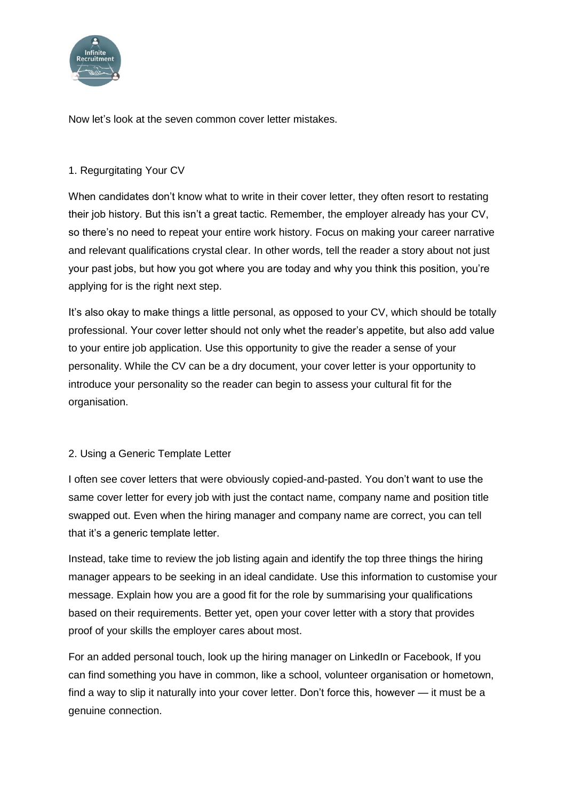

Now let's look at the seven common cover letter mistakes.

# 1. Regurgitating Your CV

When candidates don't know what to write in their cover letter, they often resort to restating their job history. But this isn't a great tactic. Remember, the employer already has your CV, so there's no need to repeat your entire work history. Focus on making your career narrative and relevant qualifications crystal clear. In other words, tell the reader a story about not just your past jobs, but how you got where you are today and why you think this position, you're applying for is the right next step.

It's also okay to make things a little personal, as opposed to your CV, which should be totally professional. Your cover letter should not only whet the reader's appetite, but also add value to your entire job application. Use this opportunity to give the reader a sense of your personality. While the CV can be a dry document, your cover letter is your opportunity to introduce your personality so the reader can begin to assess your cultural fit for the organisation.

#### 2. Using a Generic Template Letter

I often see cover letters that were obviously copied-and-pasted. You don't want to use the same cover letter for every job with just the contact name, company name and position title swapped out. Even when the hiring manager and company name are correct, you can tell that it's a generic template letter.

Instead, take time to review the job listing again and identify the top three things the hiring manager appears to be seeking in an ideal candidate. Use this information to customise your message. Explain how you are a good fit for the role by summarising your qualifications based on their requirements. Better yet, open your cover letter with a story that provides proof of your skills the employer cares about most.

For an added personal touch, look up the hiring manager on LinkedIn or Facebook, If you can find something you have in common, like a school, volunteer organisation or hometown, find a way to slip it naturally into your cover letter. Don't force this, however — it must be a genuine connection.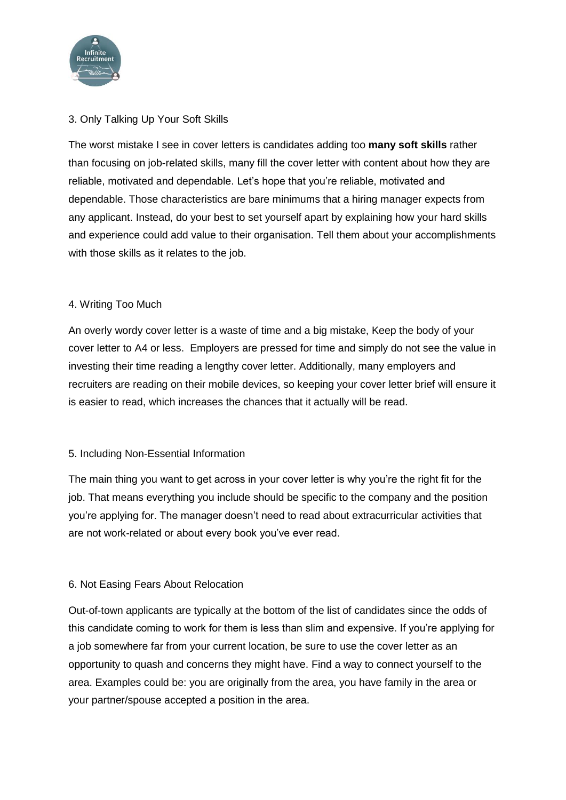

# 3. Only Talking Up Your Soft Skills

The worst mistake I see in cover letters is candidates adding too **many soft skills** rather than focusing on job-related skills, many fill the cover letter with content about how they are reliable, motivated and dependable. Let's hope that you're reliable, motivated and dependable. Those characteristics are bare minimums that a hiring manager expects from any applicant. Instead, do your best to set yourself apart by explaining how your hard skills and experience could add value to their organisation. Tell them about your accomplishments with those skills as it relates to the job.

#### 4. Writing Too Much

An overly wordy cover letter is a waste of time and a big mistake, Keep the body of your cover letter to A4 or less. Employers are pressed for time and simply do not see the value in investing their time reading a lengthy cover letter. Additionally, many employers and recruiters are reading on their mobile devices, so keeping your cover letter brief will ensure it is easier to read, which increases the chances that it actually will be read.

#### 5. Including Non-Essential Information

The main thing you want to get across in your cover letter is why you're the right fit for the job. That means everything you include should be specific to the company and the position you're applying for. The manager doesn't need to read about extracurricular activities that are not work-related or about every book you've ever read.

#### 6. Not Easing Fears About Relocation

Out-of-town applicants are typically at the bottom of the list of candidates since the odds of this candidate coming to work for them is less than slim and expensive. If you're applying for a job somewhere far from your current location, be sure to use the cover letter as an opportunity to quash and concerns they might have. Find a way to connect yourself to the area. Examples could be: you are originally from the area, you have family in the area or your partner/spouse accepted a position in the area.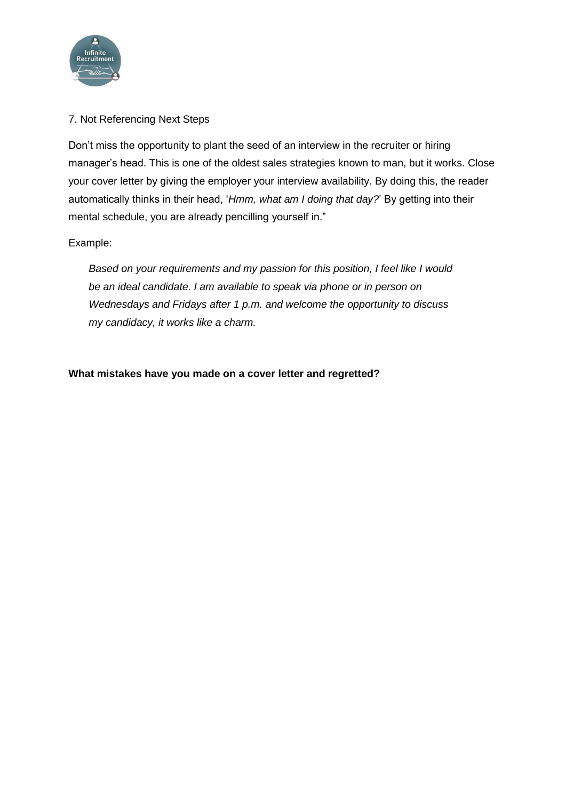

# 7. Not Referencing Next Steps

Don't miss the opportunity to plant the seed of an interview in the recruiter or hiring manager's head. This is one of the oldest sales strategies known to man, but it works. Close your cover letter by giving the employer your interview availability. By doing this, the reader automatically thinks in their head, '*Hmm, what am I doing that day?*' By getting into their mental schedule, you are already pencilling yourself in."

#### Example:

*Based on your requirements and my passion for this position, I feel like I would be an ideal candidate. I am available to speak via phone or in person on Wednesdays and Fridays after 1 p.m. and welcome the opportunity to discuss my candidacy, it works like a charm.*

#### **What mistakes have you made on a cover letter and regretted?**